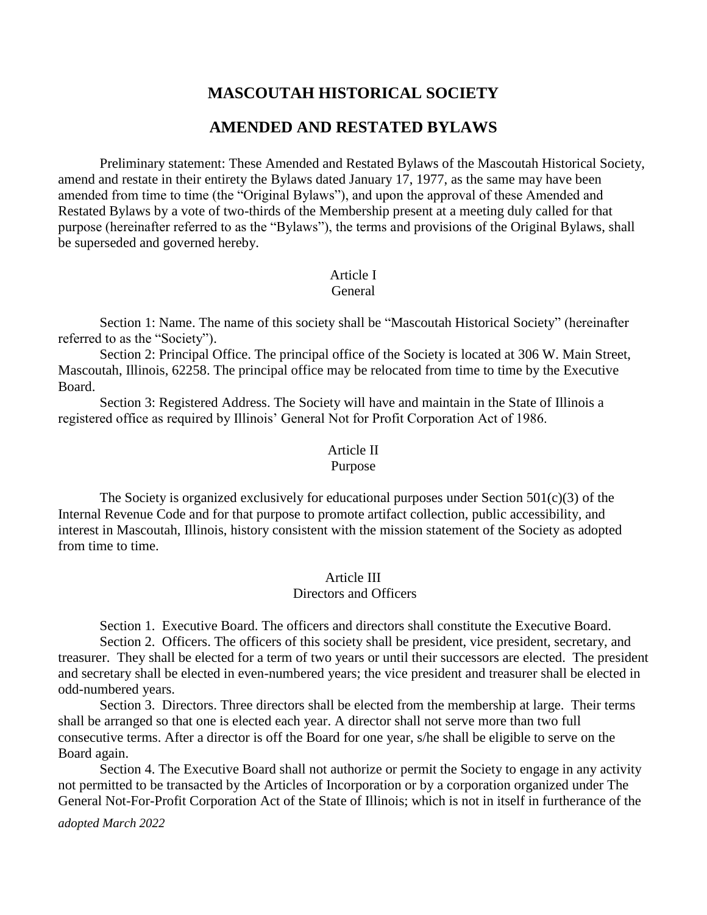# **MASCOUTAH HISTORICAL SOCIETY**

# **AMENDED AND RESTATED BYLAWS**

Preliminary statement: These Amended and Restated Bylaws of the Mascoutah Historical Society, amend and restate in their entirety the Bylaws dated January 17, 1977, as the same may have been amended from time to time (the "Original Bylaws"), and upon the approval of these Amended and Restated Bylaws by a vote of two-thirds of the Membership present at a meeting duly called for that purpose (hereinafter referred to as the "Bylaws"), the terms and provisions of the Original Bylaws, shall be superseded and governed hereby.

# Article I

#### General

Section 1: Name. The name of this society shall be "Mascoutah Historical Society" (hereinafter referred to as the "Society").

Section 2: Principal Office. The principal office of the Society is located at 306 W. Main Street, Mascoutah, Illinois, 62258. The principal office may be relocated from time to time by the Executive Board.

Section 3: Registered Address. The Society will have and maintain in the State of Illinois a registered office as required by Illinois' General Not for Profit Corporation Act of 1986.

#### Article II

#### Purpose

The Society is organized exclusively for educational purposes under Section  $501(c)(3)$  of the Internal Revenue Code and for that purpose to promote artifact collection, public accessibility, and interest in Mascoutah, Illinois, history consistent with the mission statement of the Society as adopted from time to time.

#### Article III

### Directors and Officers

Section 1. Executive Board. The officers and directors shall constitute the Executive Board.

Section 2. Officers. The officers of this society shall be president, vice president, secretary, and treasurer. They shall be elected for a term of two years or until their successors are elected. The president and secretary shall be elected in even-numbered years; the vice president and treasurer shall be elected in odd-numbered years.

Section 3. Directors. Three directors shall be elected from the membership at large. Their terms shall be arranged so that one is elected each year. A director shall not serve more than two full consecutive terms. After a director is off the Board for one year, s/he shall be eligible to serve on the Board again.

Section 4. The Executive Board shall not authorize or permit the Society to engage in any activity not permitted to be transacted by the Articles of Incorporation or by a corporation organized under The General Not-For-Profit Corporation Act of the State of Illinois; which is not in itself in furtherance of the

*adopted March 2022*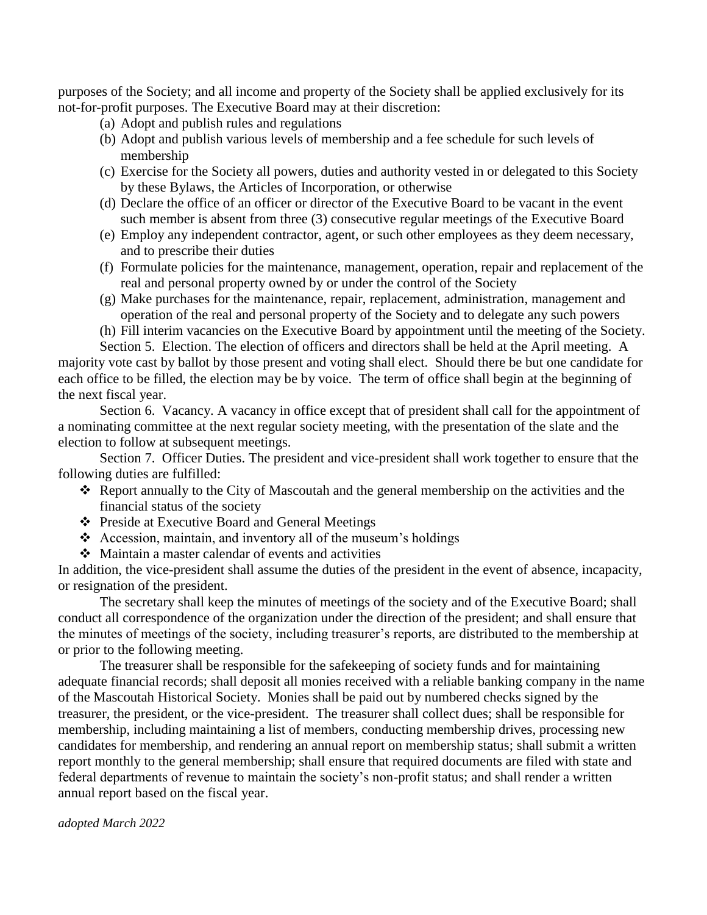purposes of the Society; and all income and property of the Society shall be applied exclusively for its not-for-profit purposes. The Executive Board may at their discretion:

- (a) Adopt and publish rules and regulations
- (b) Adopt and publish various levels of membership and a fee schedule for such levels of membership
- (c) Exercise for the Society all powers, duties and authority vested in or delegated to this Society by these Bylaws, the Articles of Incorporation, or otherwise
- (d) Declare the office of an officer or director of the Executive Board to be vacant in the event such member is absent from three (3) consecutive regular meetings of the Executive Board
- (e) Employ any independent contractor, agent, or such other employees as they deem necessary, and to prescribe their duties
- (f) Formulate policies for the maintenance, management, operation, repair and replacement of the real and personal property owned by or under the control of the Society
- (g) Make purchases for the maintenance, repair, replacement, administration, management and operation of the real and personal property of the Society and to delegate any such powers
- (h) Fill interim vacancies on the Executive Board by appointment until the meeting of the Society.

Section 5. Election. The election of officers and directors shall be held at the April meeting. A majority vote cast by ballot by those present and voting shall elect. Should there be but one candidate for each office to be filled, the election may be by voice. The term of office shall begin at the beginning of the next fiscal year.

Section 6. Vacancy. A vacancy in office except that of president shall call for the appointment of a nominating committee at the next regular society meeting, with the presentation of the slate and the election to follow at subsequent meetings.

Section 7. Officer Duties. The president and vice-president shall work together to ensure that the following duties are fulfilled:

- ❖ Report annually to the City of Mascoutah and the general membership on the activities and the financial status of the society
- ❖ Preside at Executive Board and General Meetings
- ❖ Accession, maintain, and inventory all of the museum's holdings
- ❖ Maintain a master calendar of events and activities

In addition, the vice-president shall assume the duties of the president in the event of absence, incapacity, or resignation of the president.

The secretary shall keep the minutes of meetings of the society and of the Executive Board; shall conduct all correspondence of the organization under the direction of the president; and shall ensure that the minutes of meetings of the society, including treasurer's reports, are distributed to the membership at or prior to the following meeting.

The treasurer shall be responsible for the safekeeping of society funds and for maintaining adequate financial records; shall deposit all monies received with a reliable banking company in the name of the Mascoutah Historical Society. Monies shall be paid out by numbered checks signed by the treasurer, the president, or the vice-president. The treasurer shall collect dues; shall be responsible for membership, including maintaining a list of members, conducting membership drives, processing new candidates for membership, and rendering an annual report on membership status; shall submit a written report monthly to the general membership; shall ensure that required documents are filed with state and federal departments of revenue to maintain the society's non-profit status; and shall render a written annual report based on the fiscal year.

*adopted March 2022*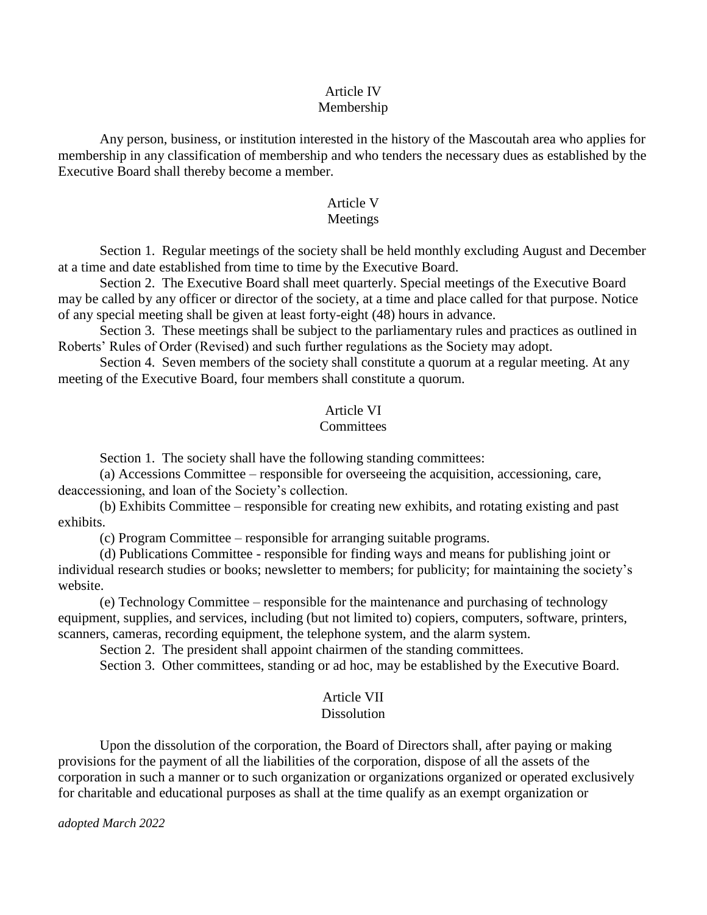#### Article IV Membership

Any person, business, or institution interested in the history of the Mascoutah area who applies for membership in any classification of membership and who tenders the necessary dues as established by the Executive Board shall thereby become a member.

# Article V

## Meetings

Section 1. Regular meetings of the society shall be held monthly excluding August and December at a time and date established from time to time by the Executive Board.

Section 2. The Executive Board shall meet quarterly. Special meetings of the Executive Board may be called by any officer or director of the society, at a time and place called for that purpose. Notice of any special meeting shall be given at least forty-eight (48) hours in advance.

Section 3. These meetings shall be subject to the parliamentary rules and practices as outlined in Roberts' Rules of Order (Revised) and such further regulations as the Society may adopt.

Section 4. Seven members of the society shall constitute a quorum at a regular meeting. At any meeting of the Executive Board, four members shall constitute a quorum.

### Article VI

# **Committees**

Section 1. The society shall have the following standing committees:

(a) Accessions Committee – responsible for overseeing the acquisition, accessioning, care, deaccessioning, and loan of the Society's collection.

(b) Exhibits Committee – responsible for creating new exhibits, and rotating existing and past exhibits.

(c) Program Committee – responsible for arranging suitable programs*.*

(d) Publications Committee - responsible for finding ways and means for publishing joint or individual research studies or books; newsletter to members; for publicity; for maintaining the society's website.

(e) Technology Committee – responsible for the maintenance and purchasing of technology equipment, supplies, and services, including (but not limited to) copiers, computers, software, printers, scanners, cameras, recording equipment, the telephone system, and the alarm system.

Section 2. The president shall appoint chairmen of the standing committees.

Section 3. Other committees, standing or ad hoc, may be established by the Executive Board.

# Article VII

### **Dissolution**

Upon the dissolution of the corporation, the Board of Directors shall, after paying or making provisions for the payment of all the liabilities of the corporation, dispose of all the assets of the corporation in such a manner or to such organization or organizations organized or operated exclusively for charitable and educational purposes as shall at the time qualify as an exempt organization or

*adopted March 2022*